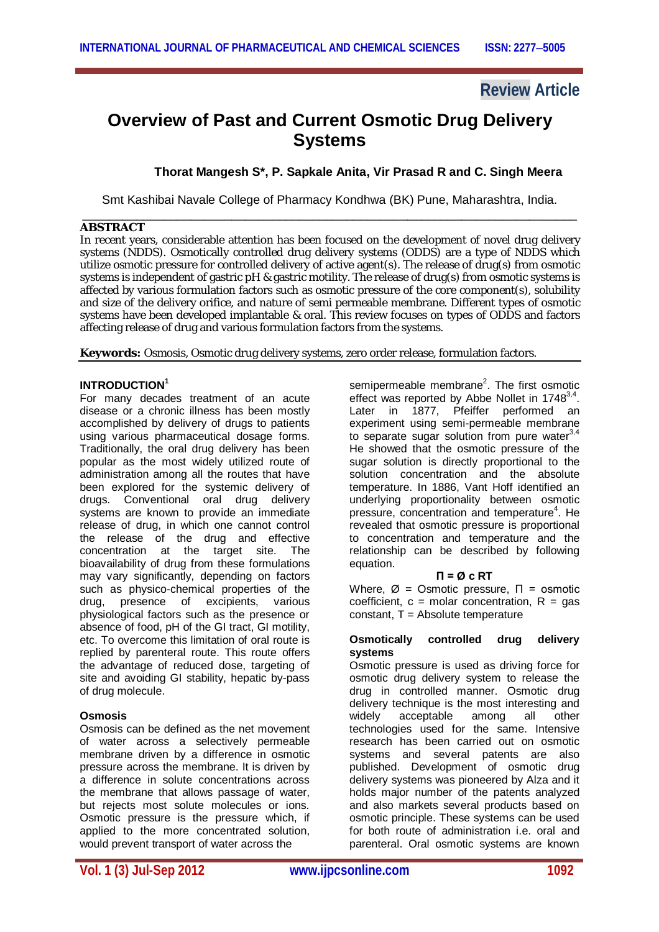# **Review Article**

# **Overview of Past and Current Osmotic Drug Delivery Systems**

### **Thorat Mangesh S\*, P. Sapkale Anita, Vir Prasad R and C. Singh Meera**

Smt Kashibai Navale College of Pharmacy Kondhwa (BK) Pune, Maharashtra, India. \_\_\_\_\_\_\_\_\_\_\_\_\_\_\_\_\_\_\_\_\_\_\_\_\_\_\_\_\_\_\_\_\_\_\_\_\_\_\_\_\_\_\_\_\_\_\_\_\_\_\_\_\_\_\_\_\_\_\_\_\_\_\_\_\_\_\_\_\_\_\_\_\_

#### **ABSTRACT**

In recent years, considerable attention has been focused on the development of novel drug delivery systems (NDDS). Osmotically controlled drug delivery systems (ODDS) are a type of NDDS which utilize osmotic pressure for controlled delivery of active agent(s). The release of drug(s) from osmotic systems is independent of gastric pH & gastric motility. The release of drug(s) from osmotic systems is affected by various formulation factors such as osmotic pressure of the core component(s), solubility and size of the delivery orifice, and nature of semi permeable membrane. Different types of osmotic systems have been developed implantable & oral. This review focuses on types of ODDS and factors affecting release of drug and various formulation factors from the systems.

**Keywords:** Osmosis, Osmotic drug delivery systems, zero order release, formulation factors.

#### **INTRODUCTION<sup>1</sup>**

For many decades treatment of an acute disease or a chronic illness has been mostly accomplished by delivery of drugs to patients using various pharmaceutical dosage forms. Traditionally, the oral drug delivery has been popular as the most widely utilized route of administration among all the routes that have been explored for the systemic delivery of drugs. Conventional oral drug delivery systems are known to provide an immediate release of drug, in which one cannot control the release of the drug and effective concentration at the target site. The bioavailability of drug from these formulations may vary significantly, depending on factors such as physico-chemical properties of the drug, presence of excipients, various physiological factors such as the presence or absence of food, pH of the GI tract, GI motility, etc. To overcome this limitation of oral route is replied by parenteral route. This route offers the advantage of reduced dose, targeting of site and avoiding GI stability, hepatic by-pass of drug molecule.

#### **Osmosis**

Osmosis can be defined as the net movement of water across a selectively permeable membrane driven by a difference in osmotic pressure across the membrane. It is driven by a difference in solute concentrations across the membrane that allows passage of water, but rejects most solute molecules or ions. Osmotic pressure is the pressure which, if applied to the more concentrated solution, would prevent transport of water across the

semipermeable membrane<sup>2</sup>. The first osmotic effect was reported by Abbe Nollet in 1748 $^{3,4}$ . Later in 1877, Pfeiffer performed an experiment using semi-permeable membrane to separate sugar solution from pure water $3$ , He showed that the osmotic pressure of the sugar solution is directly proportional to the solution concentration and the absolute temperature. In 1886, Vant Hoff identified an underlying proportionality between osmotic pressure, concentration and temperature<sup>4</sup>. He revealed that osmotic pressure is proportional to concentration and temperature and the relationship can be described by following equation.

#### **Π = Ø c RT**

Where,  $\varnothing$  = Osmotic pressure,  $\Pi$  = osmotic coefficient,  $c =$  molar concentration,  $R =$  gas  $constant$ ,  $T = Absolute$  temperature

#### **Osmotically controlled drug delivery systems**

Osmotic pressure is used as driving force for osmotic drug delivery system to release the drug in controlled manner. Osmotic drug delivery technique is the most interesting and<br>widely acceptable among all other widely acceptable among all other technologies used for the same. Intensive research has been carried out on osmotic systems and several patents are also published. Development of osmotic drug delivery systems was pioneered by Alza and it holds major number of the patents analyzed and also markets several products based on osmotic principle. These systems can be used for both route of administration i.e. oral and parenteral. Oral osmotic systems are known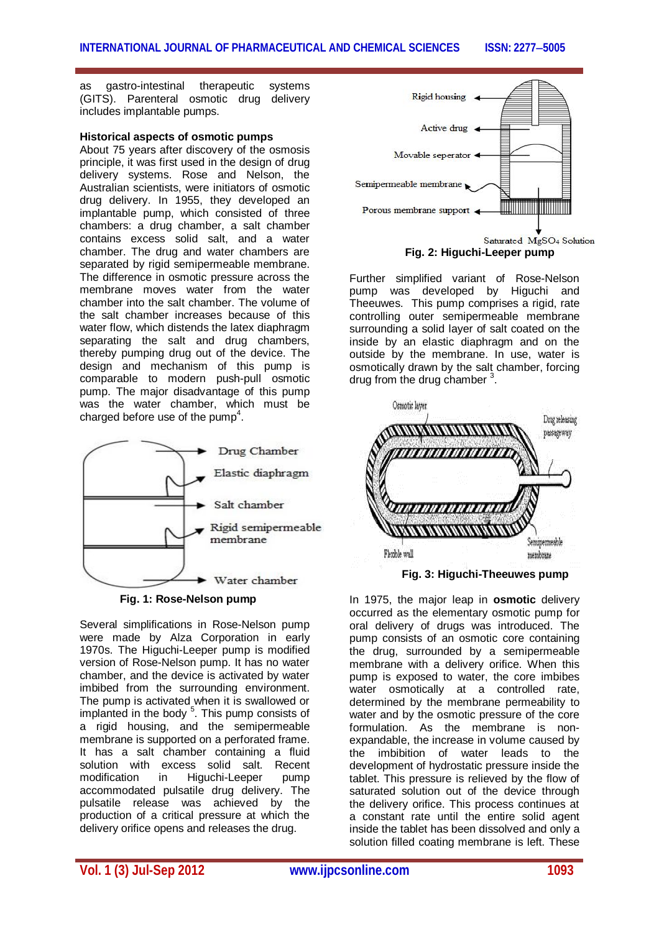as gastro-intestinal therapeutic systems (GITS). Parenteral osmotic drug delivery includes implantable pumps.

#### **Historical aspects of osmotic pumps**

About 75 years after discovery of the osmosis principle, it was first used in the design of drug delivery systems. Rose and Nelson, the Australian scientists, were initiators of osmotic drug delivery. In 1955, they developed an implantable pump, which consisted of three chambers: a drug chamber, a salt chamber contains excess solid salt, and a water chamber. The drug and water chambers are separated by rigid semipermeable membrane. The difference in osmotic pressure across the membrane moves water from the water chamber into the salt chamber. The volume of the salt chamber increases because of this water flow, which distends the latex diaphragm separating the salt and drug chambers, thereby pumping drug out of the device. The design and mechanism of this pump is comparable to modern push-pull osmotic pump. The major disadvantage of this pump was the water chamber, which must be charged before use of the pump<sup>4</sup>.





Several simplifications in Rose-Nelson pump were made by Alza Corporation in early 1970s. The Higuchi-Leeper pump is modified version of Rose-Nelson pump. It has no water chamber, and the device is activated by water imbibed from the surrounding environment. The pump is activated when it is swallowed or implanted in the body <sup>5</sup>. This pump consists of a rigid housing, and the semipermeable membrane is supported on a perforated frame. It has a salt chamber containing a fluid solution with excess solid salt. Recent<br>modification in Higuchi-Leeper pump modification in Higuchi-Leeper accommodated pulsatile drug delivery. The pulsatile release was achieved by the production of a critical pressure at which the delivery orifice opens and releases the drug.



 **Fig. 2: Higuchi-Leeper pump**

Further simplified variant of Rose-Nelson pump was developed by Higuchi and Theeuwes. This pump comprises a rigid, rate controlling outer semipermeable membrane surrounding a solid layer of salt coated on the inside by an elastic diaphragm and on the outside by the membrane. In use, water is osmotically drawn by the salt chamber, forcing drug from the drug chamber<sup>3</sup>.



In 1975, the major leap in **osmotic** delivery occurred as the elementary osmotic pump for oral delivery of drugs was introduced. The pump consists of an osmotic core containing the drug, surrounded by a semipermeable membrane with a delivery orifice. When this pump is exposed to water, the core imbibes water osmotically at a controlled rate, determined by the membrane permeability to water and by the osmotic pressure of the core formulation. As the membrane is nonexpandable, the increase in volume caused by the imbibition of water leads to the development of hydrostatic pressure inside the tablet. This pressure is relieved by the flow of saturated solution out of the device through the delivery orifice. This process continues at a constant rate until the entire solid agent inside the tablet has been dissolved and only a solution filled coating membrane is left. These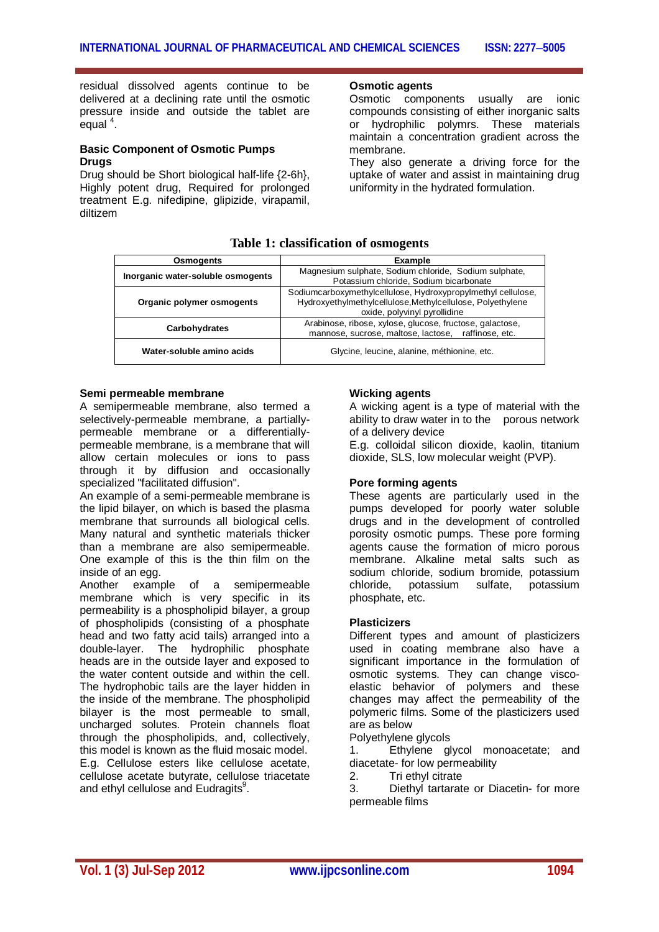residual dissolved agents continue to be delivered at a declining rate until the osmotic pressure inside and outside the tablet are .<br>equal <sup>4</sup>.

#### **Basic Component of Osmotic Pumps Drugs**

Drug should be Short biological half-life {2-6h}, Highly potent drug, Required for prolonged treatment E.g. nifedipine, glipizide, virapamil, diltizem

#### **Osmotic agents**

Osmotic components usually are ionic compounds consisting of either inorganic salts or hydrophilic polymrs. These materials maintain a concentration gradient across the membrane.

They also generate a driving force for the uptake of water and assist in maintaining drug uniformity in the hydrated formulation.

#### **Table 1: classification of osmogents**

| Osmogents                         | <b>Example</b>                                                                                                                                             |  |
|-----------------------------------|------------------------------------------------------------------------------------------------------------------------------------------------------------|--|
| Inorganic water-soluble osmogents | Magnesium sulphate, Sodium chloride, Sodium sulphate,<br>Potassium chloride, Sodium bicarbonate                                                            |  |
| Organic polymer osmogents         | Sodiumcarboxymethylcellulose, Hydroxypropylmethyl cellulose,<br>Hydroxyethylmethylcellulose, Methylcellulose, Polyethylene<br>oxide, polyvinyl pyrollidine |  |
| Carbohydrates                     | Arabinose, ribose, xylose, glucose, fructose, galactose,<br>mannose, sucrose, maltose, lactose, raffinose, etc.                                            |  |
| Water-soluble amino acids         | Glycine, leucine, alanine, méthionine, etc.                                                                                                                |  |

#### **Semi permeable membrane**

A semipermeable membrane, also termed a selectively-permeable membrane, a partiallypermeable membrane or a differentiallypermeable membrane, is a membrane that will allow certain molecules or ions to pass through it by diffusion and occasionally specialized "facilitated diffusion".

An example of a semi-permeable membrane is the lipid bilayer, on which is based the plasma membrane that surrounds all biological cells. Many natural and synthetic materials thicker than a membrane are also semipermeable. One example of this is the thin film on the inside of an egg.

Another example of a semipermeable membrane which is very specific in its permeability is a phospholipid bilayer, a group of phospholipids (consisting of a phosphate head and two fatty acid tails) arranged into a double-layer. The hydrophilic phosphate heads are in the outside layer and exposed to the water content outside and within the cell. The hydrophobic tails are the layer hidden in the inside of the membrane. The phospholipid bilayer is the most permeable to small, uncharged solutes. Protein channels float through the phospholipids, and, collectively, this model is known as the fluid mosaic model. E.g. Cellulose esters like cellulose acetate, cellulose acetate butyrate, cellulose triacetate and ethyl cellulose and Eudragits $^9$ .

#### **Wicking agents**

A wicking agent is a type of material with the ability to draw water in to the porous network of a delivery device

E.g. colloidal silicon dioxide, kaolin, titanium dioxide, SLS, low molecular weight (PVP).

#### **Pore forming agents**

These agents are particularly used in the pumps developed for poorly water soluble drugs and in the development of controlled porosity osmotic pumps. These pore forming agents cause the formation of micro porous membrane. Alkaline metal salts such as sodium chloride, sodium bromide, potassium<br>chloride, potassium sulfate, potassium potassium sulfate, potassium phosphate, etc.

#### **Plasticizers**

Different types and amount of plasticizers used in coating membrane also have a significant importance in the formulation of osmotic systems. They can change viscoelastic behavior of polymers and these changes may affect the permeability of the polymeric films. Some of the plasticizers used are as below

Polyethylene glycols

1. Ethylene glycol monoacetate; and diacetate- for low permeability

2. Tri ethyl citrate

3. Diethyl tartarate or Diacetin- for more permeable films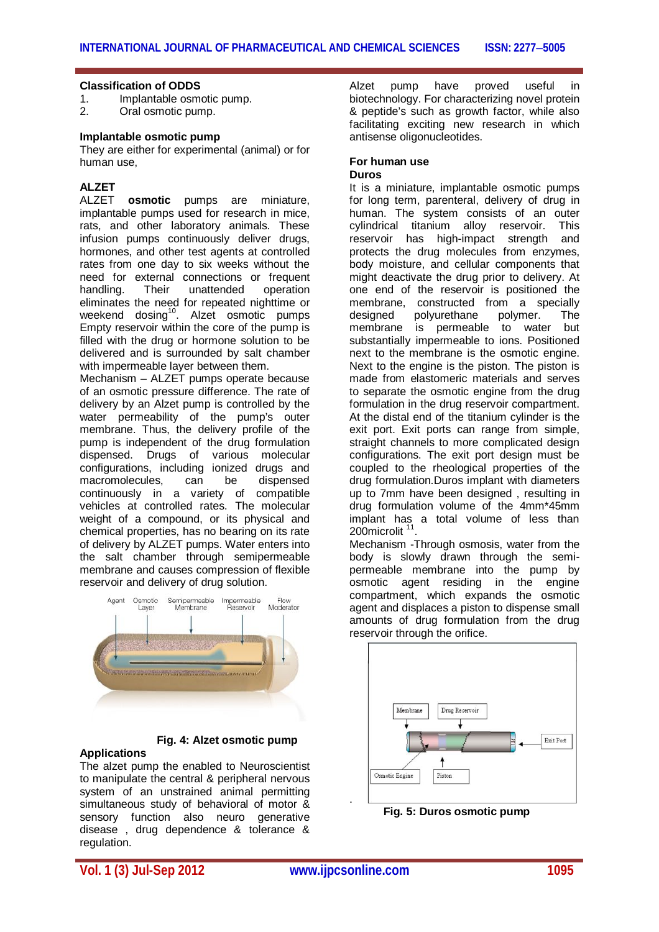#### **Classification of ODDS**

- 1. Implantable osmotic pump.
- 2. Oral osmotic pump.

#### **Implantable osmotic pump**

They are either for experimental (animal) or for human use,

# **ALZET**

**osmotic** pumps are miniature, implantable pumps used for research in mice, rats, and other laboratory animals. These infusion pumps continuously deliver drugs, hormones, and other test agents at controlled rates from one day to six weeks without the need for external connections or frequent handling. Their unattended operation eliminates the need for repeated nighttime or weekend dosing<sup>10</sup>. Alzet osmotic pumps Empty reservoir within the core of the pump is filled with the drug or hormone solution to be delivered and is surrounded by salt chamber with impermeable layer between them.

Mechanism – ALZET pumps operate because of an osmotic pressure difference. The rate of delivery by an Alzet pump is controlled by the water permeability of the pump's outer membrane. Thus, the delivery profile of the pump is independent of the drug formulation dispensed. Drugs of various molecular configurations, including ionized drugs and macromolecules, can be dispensed continuously in a variety of compatible vehicles at controlled rates. The molecular weight of a compound, or its physical and chemical properties, has no bearing on its rate of delivery by ALZET pumps. Water enters into the salt chamber through semipermeable membrane and causes compression of flexible reservoir and delivery of drug solution.



#### **Fig. 4: Alzet osmotic pump Applications**

The alzet pump the enabled to Neuroscientist to manipulate the central & peripheral nervous system of an unstrained animal permitting simultaneous study of behavioral of motor & sensory function also neuro generative disease , drug dependence & tolerance & regulation.

Alzet pump have proved useful in biotechnology. For characterizing novel protein & peptide's such as growth factor, while also facilitating exciting new research in which antisense oligonucleotides.

#### **For human use Duros**

It is a miniature, implantable osmotic pumps for long term, parenteral, delivery of drug in human. The system consists of an outer cylindrical titanium alloy reservoir. This reservoir has high-impact strength and protects the drug molecules from enzymes, body moisture, and cellular components that might deactivate the drug prior to delivery. At one end of the reservoir is positioned the membrane, constructed from a specially<br>designed polyurethane polymer. The polyurethane membrane is permeable to water but substantially impermeable to ions. Positioned next to the membrane is the osmotic engine. Next to the engine is the piston. The piston is made from elastomeric materials and serves to separate the osmotic engine from the drug formulation in the drug reservoir compartment. At the distal end of the titanium cylinder is the exit port. Exit ports can range from simple, straight channels to more complicated design configurations. The exit port design must be coupled to the rheological properties of the drug formulation.Duros implant with diameters up to 7mm have been designed , resulting in drug formulation volume of the 4mm\*45mm implant has a total volume of less than 200microlit .

Mechanism -Through osmosis, water from the body is slowly drawn through the semipermeable membrane into the pump by osmotic agent residing in the engine compartment, which expands the osmotic agent and displaces a piston to dispense small amounts of drug formulation from the drug reservoir through the orifice.



 **Fig. 5: Duros osmotic pump**

**Vol. 1 (3) Jul-Sep 2012 www.ijpcsonline.com 1095**

.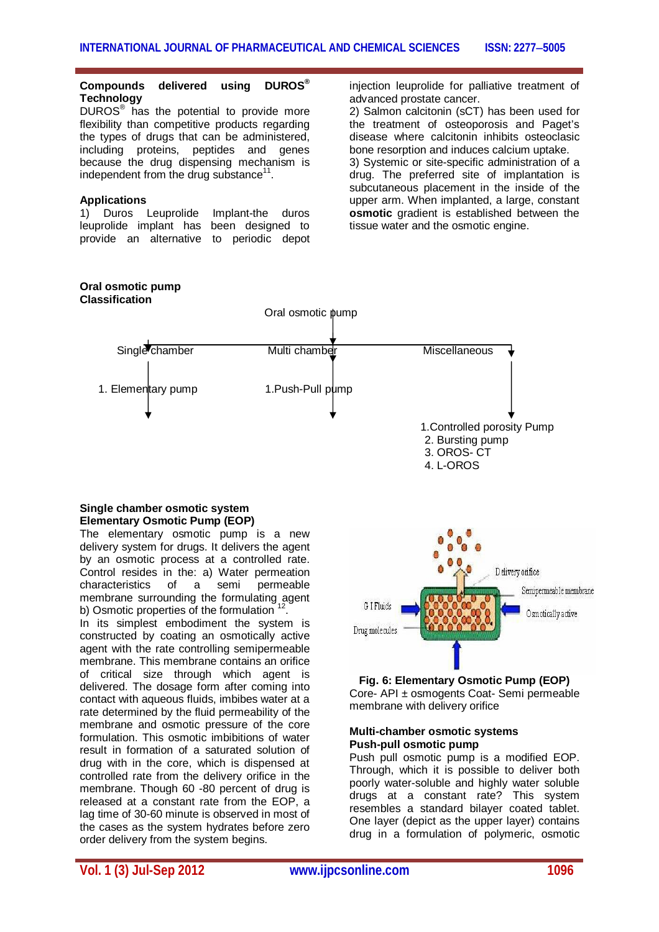#### **Compounds delivered using DUROS® Technology**

DUROS® has the potential to provide more flexibility than competitive products regarding the types of drugs that can be administered, including proteins, peptides and genes because the drug dispensing mechanism is independent from the drug substance<sup>11</sup>.

#### **Applications**

1) Duros Leuprolide Implant-the duros leuprolide implant has been designed to provide an alternative to periodic depot injection leuprolide for palliative treatment of advanced prostate cancer.

2) Salmon calcitonin (sCT) has been used for the treatment of osteoporosis and Paget's disease where calcitonin inhibits osteoclasic bone resorption and induces calcium uptake.

3) Systemic or site-specific administration of a drug. The preferred site of implantation is subcutaneous placement in the inside of the upper arm. When implanted, a large, constant **osmotic** gradient is established between the tissue water and the osmotic engine.



#### **Single chamber osmotic system Elementary Osmotic Pump (EOP)**

The elementary osmotic pump is a new delivery system for drugs. It delivers the agent by an osmotic process at a controlled rate. Control resides in the: a) Water permeation<br>characteristics of a semi permeable characteristics of a semi permeable membrane surrounding the formulating agent b) Osmotic properties of the formulation  $12$ .

In its simplest embodiment the system is constructed by coating an osmotically active agent with the rate controlling semipermeable membrane. This membrane contains an orifice of critical size through which agent is delivered. The dosage form after coming into contact with aqueous fluids, imbibes water at a rate determined by the fluid permeability of the membrane and osmotic pressure of the core formulation. This osmotic imbibitions of water result in formation of a saturated solution of drug with in the core, which is dispensed at controlled rate from the delivery orifice in the membrane. Though 60 -80 percent of drug is released at a constant rate from the EOP, a lag time of 30-60 minute is observed in most of the cases as the system hydrates before zero order delivery from the system begins.



#### **Fig. 6: Elementary Osmotic Pump (EOP)** Core- API ± osmogents Coat- Semi permeable membrane with delivery orifice

#### **Multi-chamber osmotic systems Push-pull osmotic pump**

Push pull osmotic pump is a modified EOP. Through, which it is possible to deliver both poorly water-soluble and highly water soluble drugs at a constant rate? This system resembles a standard bilayer coated tablet. One layer (depict as the upper layer) contains drug in a formulation of polymeric, osmotic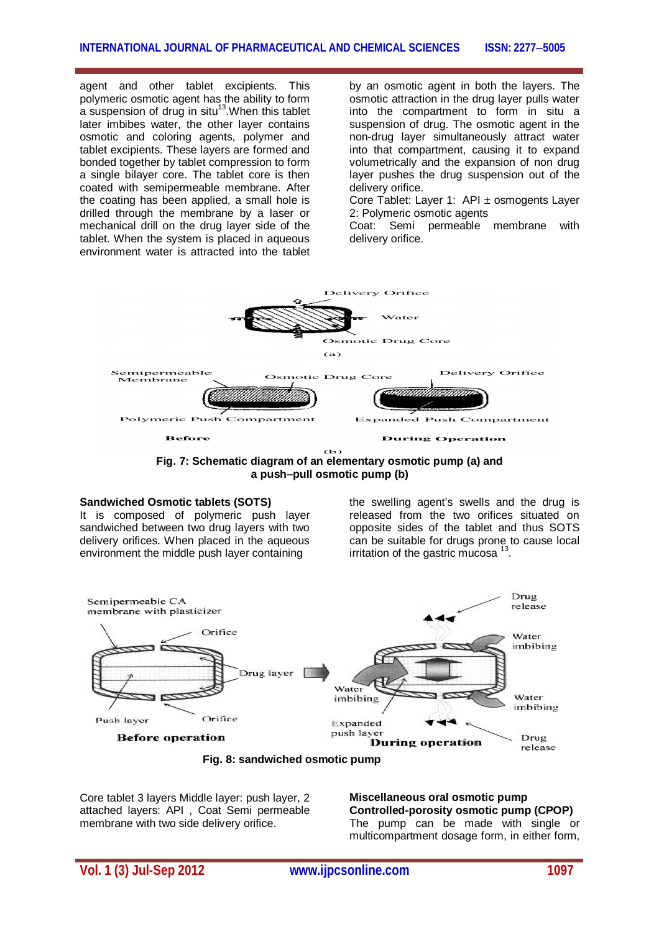agent and other tablet excipients. This polymeric osmotic agent has the ability to form a suspension of drug in situ $^{13}$ . When this tablet later imbibes water, the other layer contains osmotic and coloring agents, polymer and tablet excipients. These layers are formed and bonded together by tablet compression to form a single bilayer core. The tablet core is then coated with semipermeable membrane. After the coating has been applied, a small hole is drilled through the membrane by a laser or mechanical drill on the drug layer side of the tablet. When the system is placed in aqueous environment water is attracted into the tablet

by an osmotic agent in both the layers. The osmotic attraction in the drug layer pulls water into the compartment to form in situ a suspension of drug. The osmotic agent in the non-drug layer simultaneously attract water into that compartment, causing it to expand volumetrically and the expansion of non drug layer pushes the drug suspension out of the delivery orifice.

Core Tablet: Layer 1: API ± osmogents Layer 2: Polymeric osmotic agents

Coat: Semi permeable membrane with delivery orifice.



**Fig. 7: Schematic diagram of an elementary osmotic pump (a) and a push–pull osmotic pump (b)**

#### **Sandwiched Osmotic tablets (SOTS)**

It is composed of polymeric push layer sandwiched between two drug layers with two delivery orifices. When placed in the aqueous environment the middle push layer containing

the swelling agent's swells and the drug is released from the two orifices situated on opposite sides of the tablet and thus SOTS can be suitable for drugs prone to cause local irritation of the gastric mucosa<sup>13</sup>.



**Fig. 8: sandwiched osmotic pump** 

Core tablet 3 layers Middle layer: push layer, 2 attached layers: API , Coat Semi permeable membrane with two side delivery orifice.

**Miscellaneous oral osmotic pump Controlled-porosity osmotic pump (CPOP)** The pump can be made with single or multicompartment dosage form, in either form,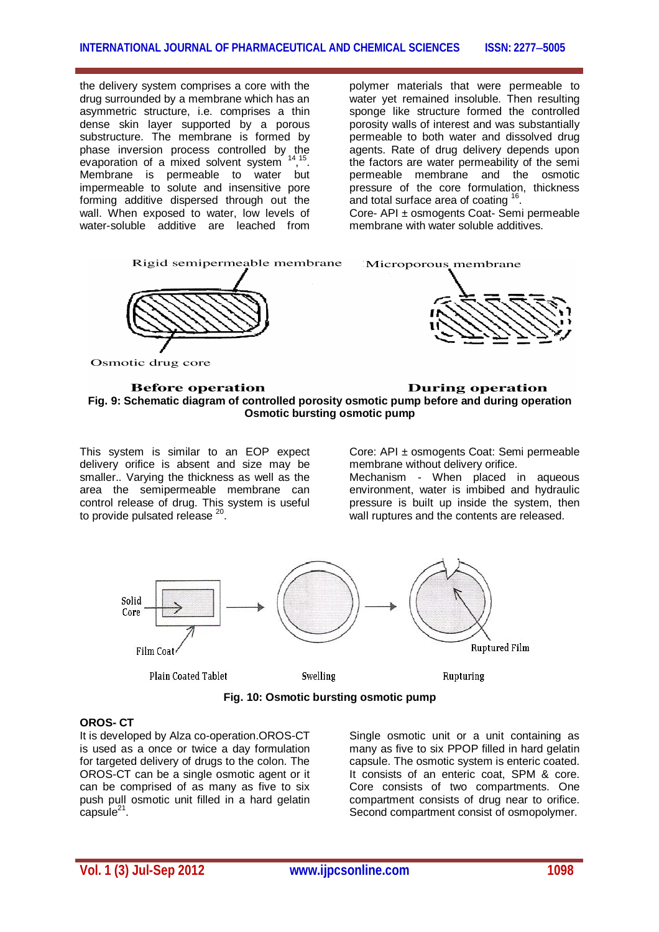the delivery system comprises a core with the drug surrounded by a membrane which has an asymmetric structure, i.e. comprises a thin dense skin layer supported by a porous substructure. The membrane is formed by phase inversion process controlled by the evaporation of a mixed solvent system , 15 . Membrane is permeable to water but impermeable to solute and insensitive pore forming additive dispersed through out the wall. When exposed to water, low levels of water-soluble additive are leached from

polymer materials that were permeable to water yet remained insoluble. Then resulting sponge like structure formed the controlled porosity walls of interest and was substantially permeable to both water and dissolved drug agents. Rate of drug delivery depends upon the factors are water permeability of the semi permeable membrane and the osmotic pressure of the core formulation, thickness .<br>and total surface area of coating <sup>16</sup>.

Core- API ± osmogents Coat- Semi permeable membrane with water soluble additives.



#### **Before operation During operation Fig. 9: Schematic diagram of controlled porosity osmotic pump before and during operation Osmotic bursting osmotic pump**

This system is similar to an EOP expect delivery orifice is absent and size may be smaller.. Varying the thickness as well as the area the semipermeable membrane can control release of drug. This system is useful to provide pulsated release <sup>20</sup>.

Core: API ± osmogents Coat: Semi permeable membrane without delivery orifice.

Mechanism - When placed in aqueous environment, water is imbibed and hydraulic pressure is built up inside the system, then wall ruptures and the contents are released.



**Fig. 10: Osmotic bursting osmotic pump**

#### **OROS- CT**

It is developed by Alza co-operation.OROS-CT is used as a once or twice a day formulation for targeted delivery of drugs to the colon. The OROS-CT can be a single osmotic agent or it can be comprised of as many as five to six push pull osmotic unit filled in a hard gelatin  $\overline{\text{capsule}}^{21}$ .

Single osmotic unit or a unit containing as many as five to six PPOP filled in hard gelatin capsule. The osmotic system is enteric coated. It consists of an enteric coat, SPM & core. Core consists of two compartments. One compartment consists of drug near to orifice. Second compartment consist of osmopolymer.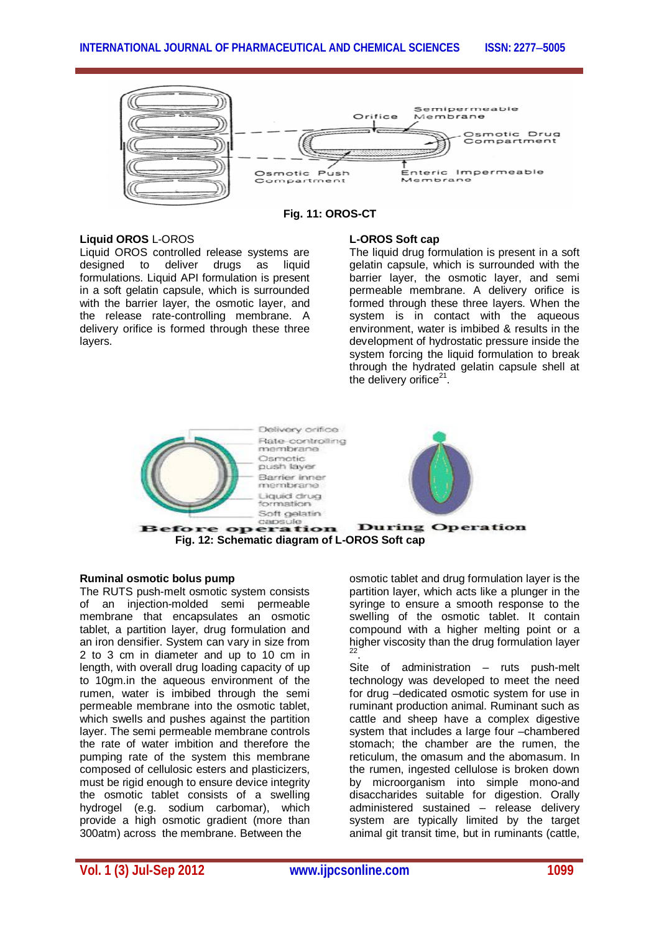

**Fig. 11: OROS-CT**

#### **Liquid OROS** L-OROS

Liquid OROS controlled release systems are designed to deliver drugs as liquid formulations. Liquid API formulation is present in a soft gelatin capsule, which is surrounded with the barrier layer, the osmotic layer, and the release rate-controlling membrane. A delivery orifice is formed through these three layers.

#### **L-OROS Soft cap**

The liquid drug formulation is present in a soft gelatin capsule, which is surrounded with the barrier layer, the osmotic layer, and semi permeable membrane. A delivery orifice is formed through these three layers. When the system is in contact with the aqueous environment, water is imbibed & results in the development of hydrostatic pressure inside the system forcing the liquid formulation to break through the hydrated gelatin capsule shell at the delivery orifice $21$ .



#### **Ruminal osmotic bolus pump**

The RUTS push-melt osmotic system consists of an injection-molded semi permeable membrane that encapsulates an osmotic tablet, a partition layer, drug formulation and an iron densifier. System can vary in size from 2 to 3 cm in diameter and up to 10 cm in length, with overall drug loading capacity of up to 10gm.in the aqueous environment of the rumen, water is imbibed through the semi permeable membrane into the osmotic tablet, which swells and pushes against the partition layer. The semi permeable membrane controls the rate of water imbition and therefore the pumping rate of the system this membrane composed of cellulosic esters and plasticizers, must be rigid enough to ensure device integrity the osmotic tablet consists of a swelling hydrogel (e.g. sodium carbomar), which provide a high osmotic gradient (more than 300atm) across the membrane. Between the

osmotic tablet and drug formulation layer is the partition layer, which acts like a plunger in the syringe to ensure a smooth response to the swelling of the osmotic tablet. It contain compound with a higher melting point or a higher viscosity than the drug formulation layer 22 .

Site of administration – ruts push-melt technology was developed to meet the need for drug –dedicated osmotic system for use in ruminant production animal. Ruminant such as cattle and sheep have a complex digestive system that includes a large four –chambered stomach; the chamber are the rumen, the reticulum, the omasum and the abomasum. In the rumen, ingested cellulose is broken down by microorganism into simple mono-and disaccharides suitable for digestion. Orally administered sustained – release delivery system are typically limited by the target animal git transit time, but in ruminants (cattle,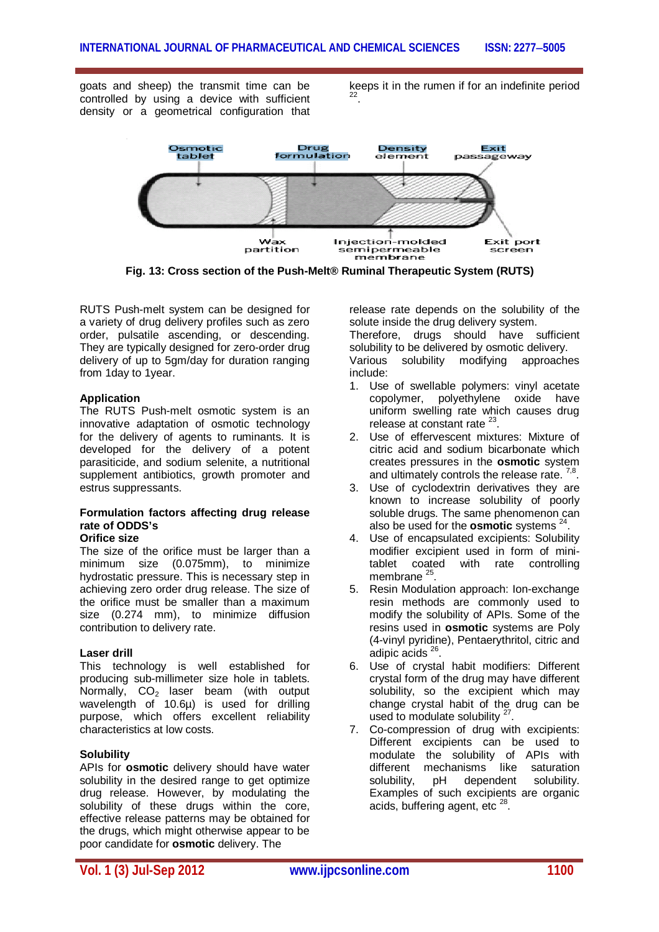goats and sheep) the transmit time can be controlled by using a device with sufficient density or a geometrical configuration that

keeps it in the rumen if for an indefinite period 22 .



**Fig. 13: Cross section of the Push-Melt® Ruminal Therapeutic System (RUTS)**

RUTS Push-melt system can be designed for a variety of drug delivery profiles such as zero order, pulsatile ascending, or descending. They are typically designed for zero-order drug delivery of up to 5gm/day for duration ranging from 1day to 1year.

#### **Application**

The RUTS Push-melt osmotic system is an innovative adaptation of osmotic technology for the delivery of agents to ruminants. It is developed for the delivery of a potent parasiticide, and sodium selenite, a nutritional supplement antibiotics, growth promoter and estrus suppressants.

## **Formulation factors affecting drug release rate of ODDS's**

## **Orifice size**

The size of the orifice must be larger than a minimum size (0.075mm), to minimize hydrostatic pressure. This is necessary step in achieving zero order drug release. The size of the orifice must be smaller than a maximum size (0.274 mm), to minimize diffusion contribution to delivery rate.

#### **Laser drill**

This technology is well established for producing sub-millimeter size hole in tablets. Normally,  $CO<sub>2</sub>$  laser beam (with output wavelength of 10.6µ) is used for drilling purpose, which offers excellent reliability characteristics at low costs.

#### **Solubility**

APIs for **osmotic** delivery should have water solubility in the desired range to get optimize drug release. However, by modulating the solubility of these drugs within the core, effective release patterns may be obtained for the drugs, which might otherwise appear to be poor candidate for **osmotic** delivery. The

release rate depends on the solubility of the solute inside the drug delivery system.

Therefore, drugs should have sufficient solubility to be delivered by osmotic delivery. Various solubility modifying approaches include:

- 1. Use of swellable polymers: vinyl acetate copolymer, polyethylene oxide have uniform swelling rate which causes drug release at constant rate  $23$ .
- 2. Use of effervescent mixtures: Mixture of citric acid and sodium bicarbonate which creates pressures in the **osmotic** system and ultimately controls the release rate.  $^{7,8}$ .
- 3. Use of cyclodextrin derivatives they are known to increase solubility of poorly soluble drugs. The same phenomenon can also be used for the **osmotic** systems <sup>24</sup>.
- 4. Use of encapsulated excipients: Solubility modifier excipient used in form of minitablet coated with rate controlling membrane<sup>25</sup>.
- 5. Resin Modulation approach: Ion-exchange resin methods are commonly used to modify the solubility of APIs. Some of the resins used in **osmotic** systems are Poly (4-vinyl pyridine), Pentaerythritol, citric and adipic acids<sup>26</sup>.
- 6. Use of crystal habit modifiers: Different crystal form of the drug may have different solubility, so the excipient which may change crystal habit of the drug can be used to modulate solubility  $27$ .
- 7. Co-compression of drug with excipients: Different excipients can be used to modulate the solubility of APIs with different mechanisms like saturation solubility, pH dependent solubility. Examples of such excipients are organic acids, buffering agent, etc<sup>28</sup>.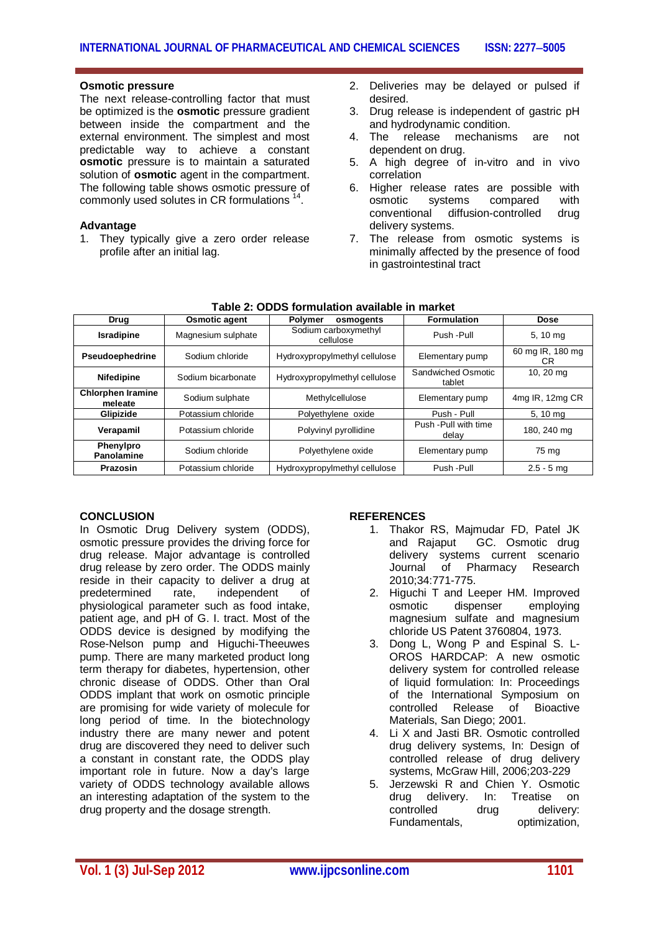#### **Osmotic pressure**

The next release-controlling factor that must be optimized is the **osmotic** pressure gradient between inside the compartment and the external environment. The simplest and most predictable way to achieve a constant **osmotic** pressure is to maintain a saturated solution of **osmotic** agent in the compartment. The following table shows osmotic pressure of commonly used solutes in CR formulations<sup>14</sup>.

#### **Advantage**

1. They typically give a zero order release profile after an initial lag.

- 2. Deliveries may be delayed or pulsed if desired.
- 3. Drug release is independent of gastric pH and hydrodynamic condition.
- 4. The release mechanisms are not dependent on drug.
- 5. A high degree of in-vitro and in vivo correlation
- 6. Higher release rates are possible with osmotic systems compared with conventional diffusion-controlled drug delivery systems.
- 7. The release from osmotic systems is minimally affected by the presence of food in gastrointestinal tract

| Drug                                | <b>Osmotic agent</b> | Polymer<br>osmogents              | <b>Formulation</b>             | Dose                    |
|-------------------------------------|----------------------|-----------------------------------|--------------------------------|-------------------------|
| <b>Isradipine</b>                   | Magnesium sulphate   | Sodium carboxymethyl<br>cellulose | Push - Pull                    | 5, 10 mg                |
| Pseudoephedrine                     | Sodium chloride      | Hydroxypropylmethyl cellulose     | Elementary pump                | 60 mg IR, 180 mg<br>CR. |
| <b>Nifedipine</b>                   | Sodium bicarbonate   | Hydroxypropylmethyl cellulose     | Sandwiched Osmotic<br>tablet   | 10, 20 mg               |
| <b>Chlorphen Iramine</b><br>meleate | Sodium sulphate      | Methylcellulose                   | Elementary pump                | 4mg IR, 12mg CR         |
| Glipizide                           | Potassium chloride   | Polyethylene oxide                | Push - Pull                    | 5, 10 mg                |
| Verapamil                           | Potassium chloride   | Polyvinyl pyrollidine             | Push - Pull with time<br>delay | 180, 240 mg             |
| Phenylpro<br>Panolamine             | Sodium chloride      | Polyethylene oxide                | Elementary pump                | 75 mg                   |
| Prazosin                            | Potassium chloride   | Hydroxypropylmethyl cellulose     | Push - Pull                    | $2.5 - 5$ mg            |

#### **Table 2: ODDS formulation available in market**

#### **CONCLUSION**

In Osmotic Drug Delivery system (ODDS), osmotic pressure provides the driving force for drug release. Major advantage is controlled drug release by zero order. The ODDS mainly reside in their capacity to deliver a drug at<br>predetermined rate, independent of predetermined rate, independent of physiological parameter such as food intake, patient age, and pH of G. I. tract. Most of the ODDS device is designed by modifying the Rose-Nelson pump and Higuchi-Theeuwes pump. There are many marketed product long term therapy for diabetes, hypertension, other chronic disease of ODDS. Other than Oral ODDS implant that work on osmotic principle are promising for wide variety of molecule for long period of time. In the biotechnology industry there are many newer and potent drug are discovered they need to deliver such a constant in constant rate, the ODDS play important role in future. Now a day's large variety of ODDS technology available allows an interesting adaptation of the system to the drug property and the dosage strength.

#### **REFERENCES**

- 1. Thakor RS, Majmudar FD, Patel JK and Rajaput GC. Osmotic drug delivery systems current scenario Journal of Pharmacy Research 2010;34:771-775.
- 2. Higuchi T and Leeper HM. Improved osmotic dispenser employing magnesium sulfate and magnesium chloride US Patent 3760804, 1973.
- 3. Dong L, Wong P and Espinal S. L-OROS HARDCAP: A new osmotic delivery system for controlled release of liquid formulation: In: Proceedings of the International Symposium on controlled Release of Bioactive Materials, San Diego; 2001.
- 4. Li X and Jasti BR. Osmotic controlled drug delivery systems, In: Design of controlled release of drug delivery systems, McGraw Hill, 2006;203-229
- 5. Jerzewski R and Chien Y. Osmotic<br>drug delivery. In: Treatise on delivery. In: Treatise on controlled drug delivery: Fundamentals, optimization,